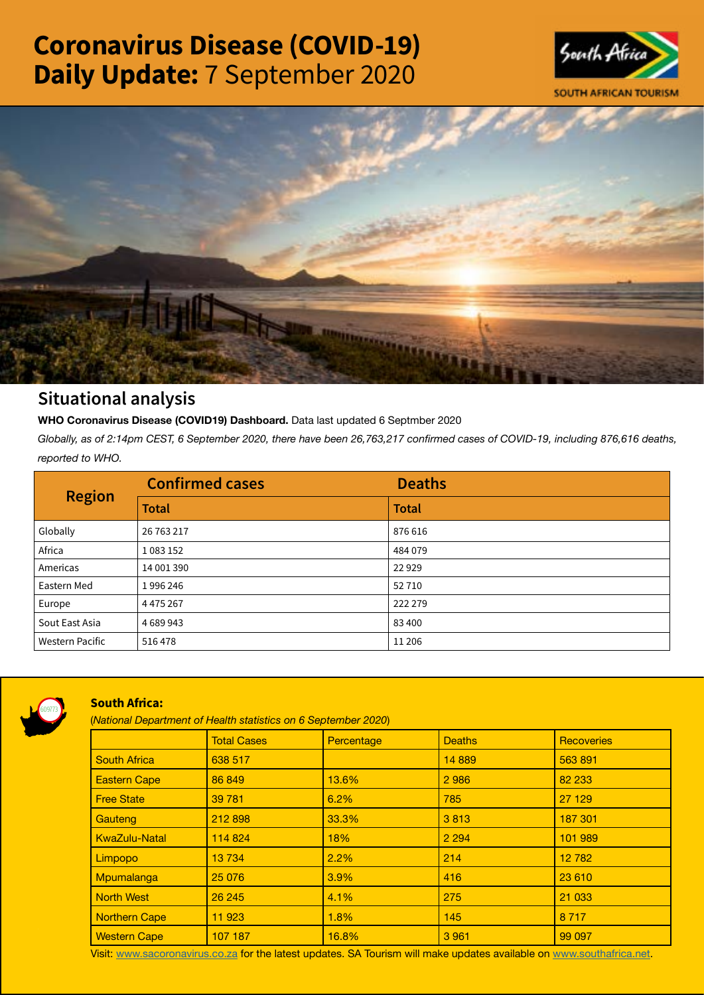# Coronavirus Disease (COVID-19) Daily Update: 7 September 2020





# Situational analysis

**WHO Coronavirus Disease (COVID19) Dashboard.** Data last updated 6 Septmber 2020

*Globally, as of 2:14pm CEST, 6 September 2020, there have been 26,763,217 confirmed cases of COVID-19, including 876,616 deaths, reported to WHO.*

| <b>Region</b>          | <b>Confirmed cases</b> | <b>Deaths</b> |
|------------------------|------------------------|---------------|
|                        | <b>Total</b>           | <b>Total</b>  |
| Globally               | 26 763 217             | 876 616       |
| Africa                 | 1083152                | 484079        |
| Americas               | 14 001 390             | 22929         |
| Eastern Med            | 1996246                | 52710         |
| Europe                 | 4 4 7 5 2 6 7          | 222 279       |
| Sout East Asia         | 4689943                | 83400         |
| <b>Western Pacific</b> | 516478                 | 11 20 6       |



## South Africa:

(*National Department of Health statistics on 6 September 2020*)

|                      | <b>Total Cases</b> | Percentage | <b>Deaths</b> | <b>Recoveries</b> |  |
|----------------------|--------------------|------------|---------------|-------------------|--|
| <b>South Africa</b>  | 638 517            |            | 14 8 89       | 563891            |  |
| <b>Eastern Cape</b>  | 86 849             | 13.6%      | 2986          | 82 233            |  |
| <b>Free State</b>    | 39 781             | 6.2%       | 785           | 27 129            |  |
| Gauteng              | 212 898            | 33.3%      | 3813          | 187 301           |  |
| <b>KwaZulu-Natal</b> | 114 824            | 18%        | 2 2 9 4       | 101 989           |  |
| Limpopo              | 13734              | 2.2%       | 214           | 12 782            |  |
| Mpumalanga           | 25 0 76            | 3.9%       | 416           | 23 610            |  |
| <b>North West</b>    | 26 245             | 4.1%       | 275           | 21 033            |  |
| Northern Cape        | 11 923             | 1.8%       | 145           | 8 7 1 7           |  |
| <b>Western Cape</b>  | 107 187            | 16.8%      | 3 9 6 1       | 99 097            |  |

Visit: [www.sacoronavirus.co.za](http://www.sacoronavirus.co.za) for the latest updates. SA Tourism will make updates available on [www.southafrica.net.](http://www.southafrica.net)